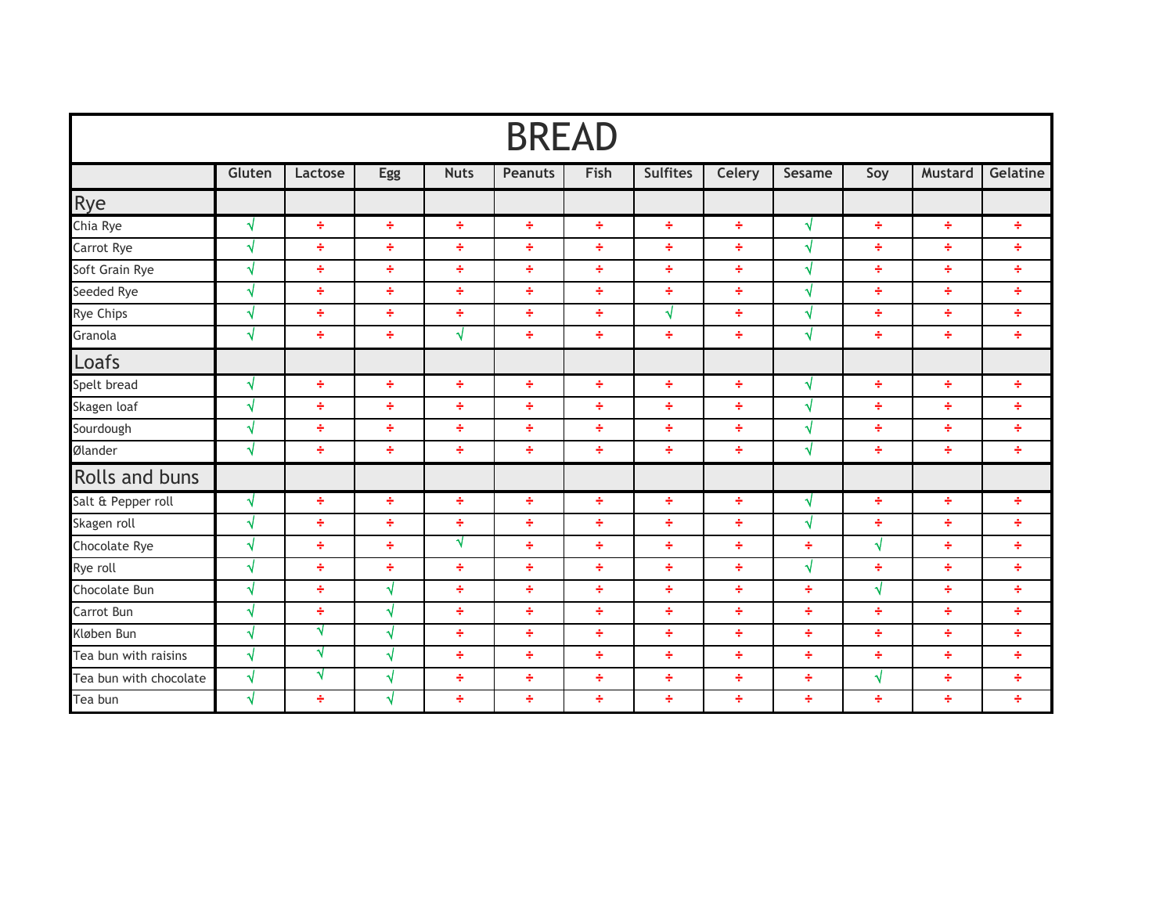| <b>BREAD</b>           |            |         |           |             |                |      |                 |        |            |            |                |          |
|------------------------|------------|---------|-----------|-------------|----------------|------|-----------------|--------|------------|------------|----------------|----------|
|                        | Gluten     | Lactose | Egg       | <b>Nuts</b> | <b>Peanuts</b> | Fish | <b>Sulfites</b> | Celery | Sesame     | Soy        | <b>Mustard</b> | Gelatine |
| <b>Rye</b>             |            |         |           |             |                |      |                 |        |            |            |                |          |
| Chia Rye               | $\sqrt{ }$ | ÷       | ÷         | ÷           | ÷              | ÷    | ÷               | ÷      | √          | ÷          | ÷              | ÷        |
| Carrot Rye             | √          | ÷       | ÷         | ÷           | ÷              | ÷    | ÷               | ÷      | √          | ÷          | ÷              | ÷        |
| Soft Grain Rye         | $\sqrt{ }$ | ÷       | ÷         | ÷           | ÷              | ÷    | ÷               | ÷      | $\sqrt{ }$ | ÷          | ÷              | ÷        |
| Seeded Rye             | √          | ÷       | ÷         | ÷           | ÷              | ÷    | ÷               | ÷      | √          | ÷          | ÷              | ÷        |
| Rye Chips              | √          | ÷       | ÷         | ÷           | ÷              | ÷    | √               | ÷      | √          | ÷          | ÷              | ÷        |
| Granola                | $\sqrt{ }$ | ÷       | ÷         | √           | ÷              | ÷    | ÷               | ÷      | √          | ÷          | ÷              | ÷        |
| Loafs                  |            |         |           |             |                |      |                 |        |            |            |                |          |
| Spelt bread            | $\sqrt{ }$ | ÷       | ÷         | ÷           | ÷              | ÷    | ÷               | ÷      | √          | ÷          | ÷              | ÷        |
| Skagen loaf            | $\sqrt{}$  | ÷       | ÷         | ÷           | ÷              | ÷    | ÷               | ÷      | √          | ÷          | ÷              | ÷        |
| Sourdough              | √          | ÷       | ÷         | ÷           | ÷              | ÷    | ÷               | ÷      | √          | ÷          | ÷              | ÷        |
| Ølander                | √          | ÷       | ÷         | ÷           | ÷              | ÷    | ÷               | ÷      | $\sqrt{ }$ | ÷          | ÷              | ÷        |
| <b>Rolls and buns</b>  |            |         |           |             |                |      |                 |        |            |            |                |          |
| Salt & Pepper roll     | $\sqrt{ }$ | ÷       | ÷         | ÷           | ÷              | ÷    | ÷               | ÷      | N          | ÷          | ÷              | ÷        |
| Skagen roll            | √          | ÷       | ÷         | ÷           | ÷              | ÷    | ÷               | ÷      | √          | ÷          | ÷              | ÷        |
| Chocolate Rye          | $\sqrt{ }$ | ÷       | ÷         | √           | ÷              | ÷    | ÷               | ÷      | ÷          | $\sqrt{ }$ | ÷              | ÷        |
| Rye roll               | √          | ÷       | ÷         | ÷           | ÷              | ÷    | ÷               | ÷      | $\sqrt{ }$ | ÷          | ÷              | ÷        |
| Chocolate Bun          | √          | ÷       | √         | ÷           | ÷              | ÷    | ÷               | ÷      | ÷          | $\sqrt{ }$ | ÷              | ÷        |
| Carrot Bun             | $\sqrt{ }$ | ÷       | $\sqrt{}$ | ÷           | ÷              | ÷    | ÷               | ÷      | ÷          | ÷          | ÷              | ÷        |
| Kløben Bun             | $\sqrt{}$  | N       | $\sqrt{}$ | ÷           | ÷              | ÷    | ÷               | ÷      | ÷          | ÷          | ÷              | ÷        |
| Tea bun with raisins   | √          | √       | √         | ÷           | ÷              | ÷    | ÷               | ÷      | ÷          | ÷          | ÷              | ÷        |
| Tea bun with chocolate | √          | √       | √         | ÷           | ÷              | ÷    | ÷               | ÷      | ÷          | $\sqrt{}$  | ÷              | ÷        |
| Tea bun                | $\sqrt{ }$ | ÷       | √         | ÷           | ÷              | ÷    | ÷               | ÷      | ÷          | ÷          | ÷              | ÷        |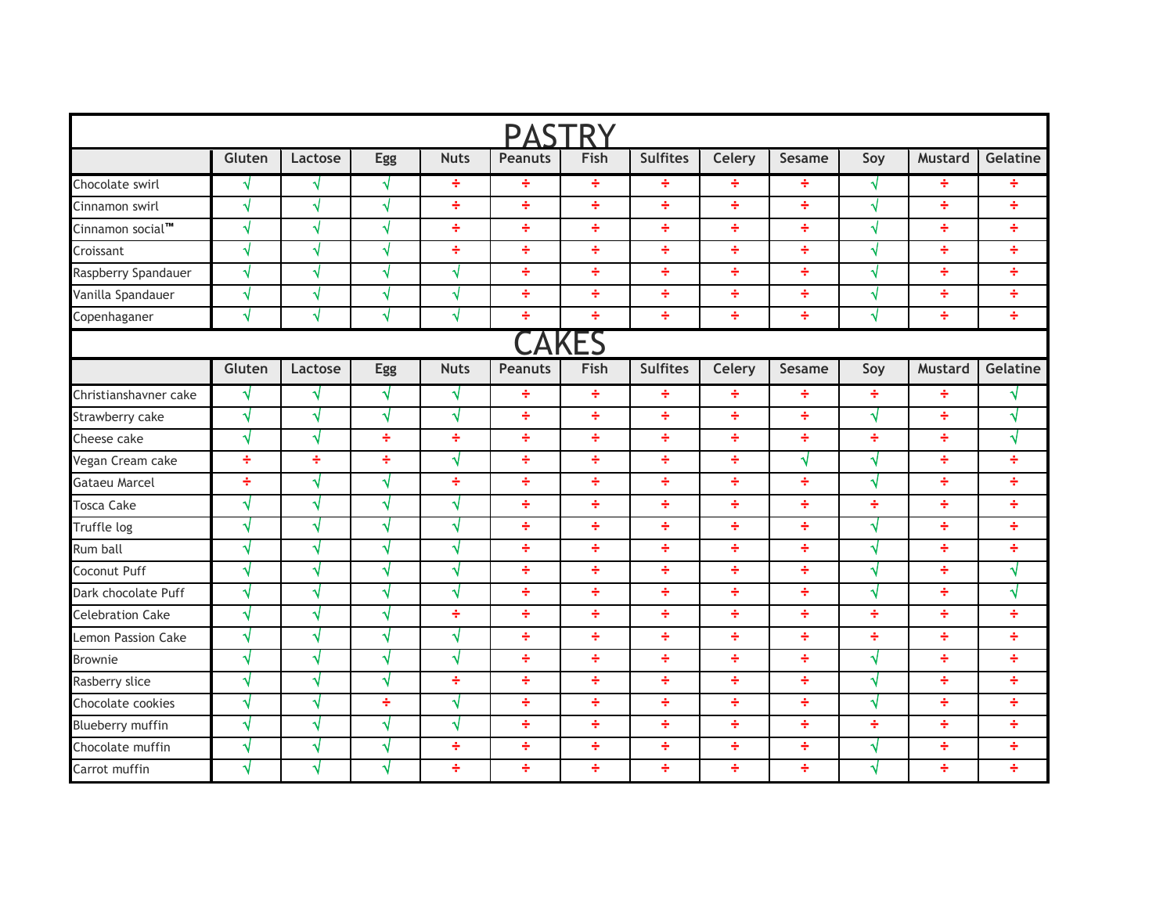| <b>PASTRY</b>           |            |            |     |             |                |      |                 |        |        |     |                |           |
|-------------------------|------------|------------|-----|-------------|----------------|------|-----------------|--------|--------|-----|----------------|-----------|
|                         | Gluten     | Lactose    | Egg | <b>Nuts</b> | <b>Peanuts</b> | Fish | <b>Sulfites</b> | Celery | Sesame | Soy | <b>Mustard</b> | Gelatine  |
| Chocolate swirl         | √          | √          | √   | ÷           | ÷              | ÷    | ÷               | ÷      | ÷      | √   | ÷              | ÷         |
| Cinnamon swirl          | $\sqrt{ }$ | $\sqrt{ }$ | √   | ÷           | ÷              | ÷    | ÷               | ÷      | ÷      | √   | ÷              | ÷         |
| Cinnamon social™        | √          | √          | √   | ÷           | ÷              | ÷    | ÷               | ÷      | ÷      | √   | ÷              | ÷         |
| Croissant               | $\sqrt{ }$ | √          | √   | ÷           | ÷              | ÷    | ÷               | ÷      | ÷      | √   | ÷              | ÷         |
| Raspberry Spandauer     | $\sqrt{ }$ | √          | √   | $\sqrt{ }$  | ÷              | ÷    | ÷               | ÷      | ÷      | √   | ÷              | ÷         |
| Vanilla Spandauer       | $\sqrt{ }$ | √          | √   | $\sqrt{ }$  | ÷              | ÷    | ÷               | ÷      | ÷      | √   | ÷              | ÷         |
| Copenhaganer            | √          | √          | √   | $\sqrt{ }$  | ÷              | ÷    | ÷               | ÷      | ÷      | √   | ÷              | ÷         |
|                         |            |            |     |             |                | Fς   |                 |        |        |     |                |           |
|                         | Gluten     | Lactose    | Egg | <b>Nuts</b> | <b>Peanuts</b> | Fish | <b>Sulfites</b> | Celery | Sesame | Soy | <b>Mustard</b> | Gelatine  |
| Christianshavner cake   | N          | √          | √   | √           | ÷              | ÷    | ÷               | ÷      | ÷      | ÷   | ÷              | √         |
| Strawberry cake         | $\sqrt{}$  | $\sqrt{ }$ | √   | $\sqrt{ }$  | ÷              | ÷    | ÷               | ÷      | ÷      | √   | ÷              | $\sqrt{}$ |
| Cheese cake             | √          | $\sqrt{ }$ | ÷   | ÷           | ÷              | ÷    | ÷               | ÷      | ÷      | ÷   | ÷              | √         |
| Vegan Cream cake        | ÷          | ÷          | ÷   | √           | ÷              | ÷    | ÷               | ÷      | √      | √   | ÷              | ÷         |
| <b>Gataeu Marcel</b>    | ÷          | √          | √   | ÷           | ÷              | ÷    | ÷               | ÷      | ÷      | √   | ÷              | ÷         |
| Tosca Cake              | $\sqrt{ }$ | √          | √   | $\sqrt{ }$  | ÷              | ÷    | ÷               | ÷      | ÷      | ÷   | ÷              | ÷         |
| Truffle log             | √          | √          | √   | √           | ÷              | ÷    | ÷               | ÷      | ÷      | √   | ÷              | ÷         |
| Rum ball                | √          | √          | √   | $\sqrt{ }$  | ÷              | ÷    | ÷               | ÷      | ÷      | √   | ÷              | ÷         |
| Coconut Puff            | √          | √          | √   | $\sqrt{ }$  | ÷              | ÷    | ÷               | ÷      | ÷      | √   | ÷              | √         |
| Dark chocolate Puff     | √          | √          | √   | √           | ÷              | ÷    | ÷               | ÷      | ÷      | √   | ÷              | √         |
| <b>Celebration Cake</b> | √          | $\sqrt{ }$ | √   | ÷           | ÷              | ÷    | ÷               | ÷      | ÷      | ÷   | ÷              | ÷         |
| Lemon Passion Cake      | √          | √          | √   | N           | ÷              | ÷    | ÷               | ÷      | ÷      | ÷   | ÷              | ÷         |
| <b>Brownie</b>          | √          | √          | √   | √           | ÷              | ÷    | ÷               | ÷      | ÷      | √   | ÷              | ÷         |
| Rasberry slice          | √          | $\sqrt{ }$ | √   | ÷           | ÷              | ÷    | ÷               | ÷      | ÷      | √   | ÷              | ÷         |
| Chocolate cookies       | $\sqrt{ }$ | √          | ÷   | √           | ÷              | ÷    | ÷               | ÷      | ÷      | √   | ÷              | ÷         |
| Blueberry muffin        | √          | √          | √   | √           | ÷              | ÷    | ÷               | ÷      | ÷      | ÷   | ÷              | ÷         |
| Chocolate muffin        | √          | √          | √   | ÷           | ÷              | ÷    | ÷               | ÷      | ÷      | √   | ÷              | ÷         |
| Carrot muffin           | √          | √          | √   | ÷           | ÷              | ÷    | ÷               | ÷      | ÷      | √   | ÷              | ÷         |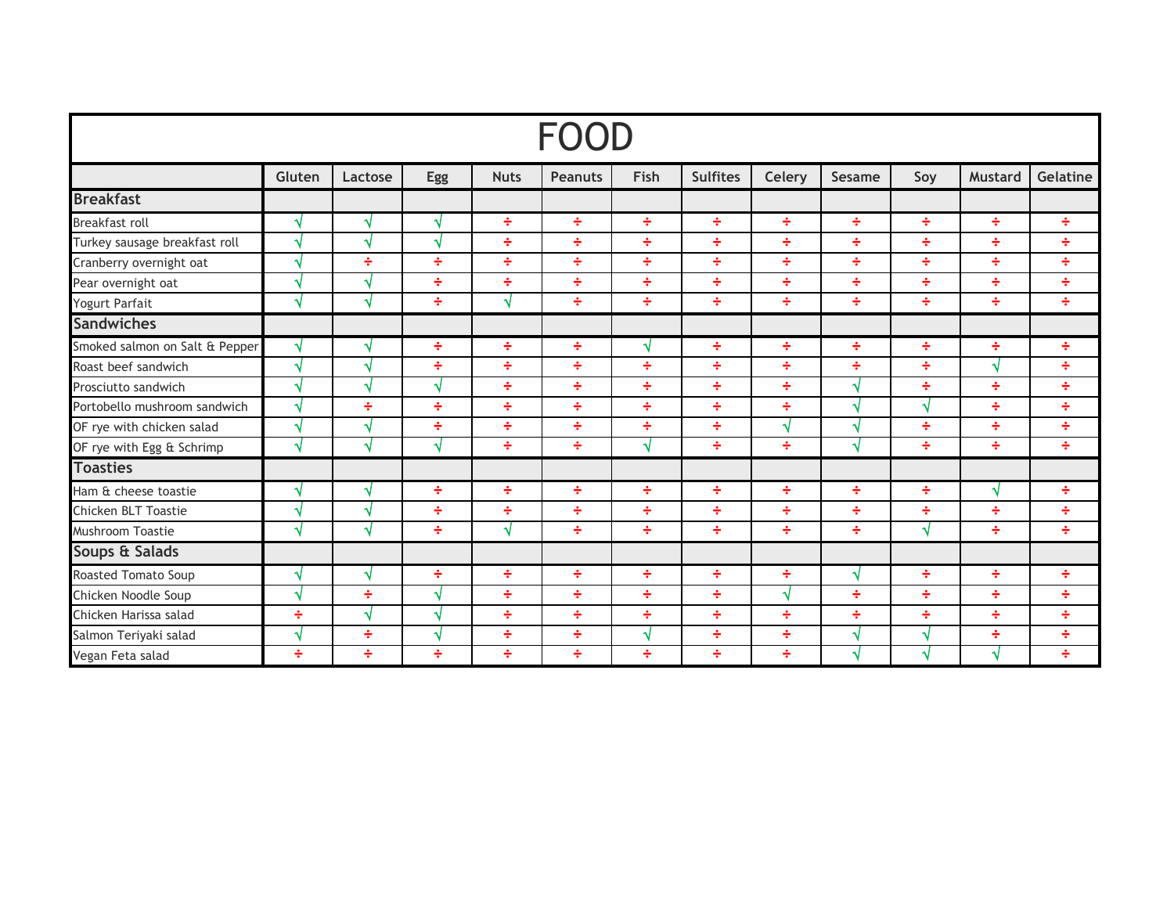|                                | Gluten        | Lactose | Egg | <b>Nuts</b> | <b>Peanuts</b> | Fish | <b>Sulfites</b> | Celery | Sesame | Soy | <b>Mustard</b> | Gelatine |
|--------------------------------|---------------|---------|-----|-------------|----------------|------|-----------------|--------|--------|-----|----------------|----------|
| <b>Breakfast</b>               |               |         |     |             |                |      |                 |        |        |     |                |          |
| Breakfast roll                 | ×.            | √       | √   | ÷           | ÷              | ÷    | ÷               | ÷      | ÷      | ÷   | ÷              | ÷        |
| Turkey sausage breakfast roll  | Ä,            | √       | N   | ÷           | ÷              | ÷    | ÷               | ÷      | ÷      | ÷   | ÷              | ÷        |
| Cranberry overnight oat        | ۸l            | ÷       | ÷   | ÷           | ÷              | ÷    | ÷               | ÷      | ÷      | ÷   | ÷              | ÷        |
| Pear overnight oat             |               | √       | ÷   | ÷           | ÷              | ÷    | ÷               | ÷      | ÷      | ÷   | ÷              | ÷        |
| Yogurt Parfait                 | N             | √       | ÷   | √           | ÷              | ÷    | ÷               | ÷      | ÷      | ÷   | ÷              | ÷        |
| <b>Sandwiches</b>              |               |         |     |             |                |      |                 |        |        |     |                |          |
| Smoked salmon on Salt & Pepper | N             | √       | ÷   | ÷           | ÷              | ึ่ง  | ÷               | ÷      | ÷      | ÷   | ÷              | ÷        |
| Roast beef sandwich            | N             | √       | ÷   | ÷           | ÷              | ÷    | ÷               | ÷      | ÷      | ÷   | √              | ÷        |
| Prosciutto sandwich            |               | √       | √   | ÷           | ÷              | ÷    | ÷               | ÷      |        | ÷   | ÷              | ÷        |
| Portobello mushroom sandwich   | $\mathcal{A}$ | ÷       | ÷   | ÷           | ÷              | ÷    | ÷               | ÷      | ×.     |     | ÷              | ÷        |
| OF rye with chicken salad      | N             | √       | ÷   | ÷           | ÷              | ÷    | ÷               | √      | N      | ÷   | ÷              | ÷        |
| OF rye with Egg & Schrimp      | N             | √       | √   | ÷           | ÷              | √    | ÷               | ÷      | N      | ÷   | ÷              | ÷        |
| <b>Toasties</b>                |               |         |     |             |                |      |                 |        |        |     |                |          |
| Ham & cheese toastie           | A.            | √       | ÷   | ÷           | ÷              | ÷    | ÷               | ÷      | ÷      | ÷   | √              | ÷        |
| Chicken BLT Toastie            | k             | √       | ÷   | ÷           | ÷              | ÷    | ÷               | ÷      | ÷      | ÷   | ÷              | ÷        |
| Mushroom Toastie               | ٩I            | √       | ÷   | √           | ÷              | ÷    | ÷               | ÷      | ÷      | √   | ÷              | ÷        |
| Soups & Salads                 |               |         |     |             |                |      |                 |        |        |     |                |          |
| Roasted Tomato Soup            | ×.            | √       | ÷   | ÷           | ÷              | ÷    | ÷               | ÷      | √      | ÷   | ÷              | ÷        |
| Chicken Noodle Soup            |               | ÷       | √   | ÷           | ÷              | ÷    | ÷               | N      | ÷      | ÷   | ÷              | ÷        |
| Chicken Harissa salad          | ÷             | √       | √   | ÷           | ÷              | ÷    | ÷               | ÷      | ÷      | ÷   | ÷              | ÷        |
| Salmon Teriyaki salad          | ×.            | ÷       | N   | ÷           | ÷              | ы    | ÷               | ÷      | ٠      |     | ÷              | ÷        |
| Vegan Feta salad               | ÷             | ÷       | ÷   | ÷           | ÷              | ÷    | ÷               | ÷      | ٠      |     | √              | ÷        |